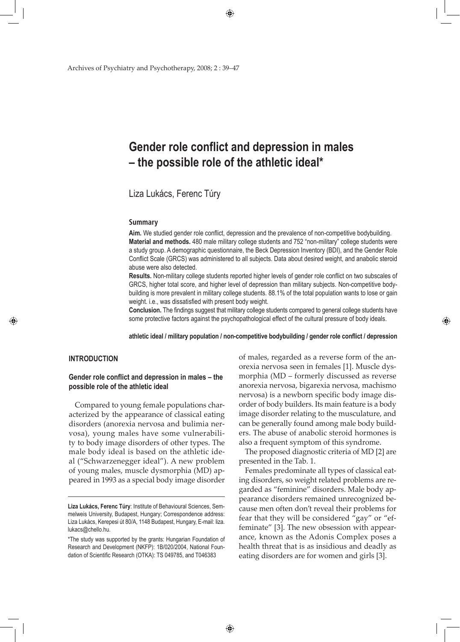Archives of Psychiatry and Psychotherapy, 2008; 2 : 39–47

# **Gender role conflict and depression in males – the possible role of the athletic ideal\***

Liza Lukács, Ferenc Túry

#### **Summary**

**Aim.** We studied gender role conflict, depression and the prevalence of non-competitive bodybuilding. **Material and methods.** 480 male military college students and 752 "non-military" college students were a study group. A demographic questionnaire, the Beck Depression Inventory (BDI), and the Gender Role Conflict Scale (GRCS) was administered to all subjects. Data about desired weight, and anabolic steroid abuse were also detected.

**Results.** Non-military college students reported higher levels of gender role conflict on two subscales of GRCS, higher total score, and higher level of depression than military subjects. Non-competitive bodybuilding is more prevalent in military college students. 88.1% of the total population wants to lose or gain weight. i.e., was dissatisfied with present body weight.

**Conclusion.** The findings suggest that military college students compared to general college students have some protective factors against the psychopathological effect of the cultural pressure of body ideals.

**athletic ideal / military population / non-competitive bodybuilding / gender role conflict / depression**

# **INTRODUCTION**

◈

# **Gender role conflict and depression in males – the possible role of the athletic ideal**

Compared to young female populations characterized by the appearance of classical eating disorders (anorexia nervosa and bulimia nervosa), young males have some vulnerability to body image disorders of other types. The male body ideal is based on the athletic ideal ("Schwarzenegger ideal"). A new problem of young males, muscle dysmorphia (MD) appeared in 1993 as a special body image disorder of males, regarded as a reverse form of the anorexia nervosa seen in females [1]. Muscle dysmorphia (MD – formerly discussed as reverse anorexia nervosa, bigarexia nervosa, machismo nervosa) is a newborn specific body image disorder of body builders. Its main feature is a body image disorder relating to the musculature, and can be generally found among male body builders. The abuse of anabolic steroid hormones is also a frequent symptom of this syndrome.

◈

The proposed diagnostic criteria of MD [2] are presented in the Tab. 1.

Females predominate all types of classical eating disorders, so weight related problems are regarded as "feminine" disorders. Male body appearance disorders remained unrecognized because men often don't reveal their problems for fear that they will be considered "gay" or "effeminate" [3]. The new obsession with appearance, known as the Adonis Complex poses a health threat that is as insidious and deadly as eating disorders are for women and girls [3].

**Liza Lukács, Ferenc Túry**: Institute of Behavioural Sciences, Semmelweis University, Budapest, Hungary; Correspondence address: Liza Lukács, Kerepesi út 80/A, 1148 Budapest, Hungary, E-mail: liza. lukacs@chello.hu.

<sup>\*</sup>The study was supported by the grants: Hungarian Foundation of Research and Development (NKFP): 1B/020/2004, National Foundation of Scientific Research (OTKA): TS 049785, and T046383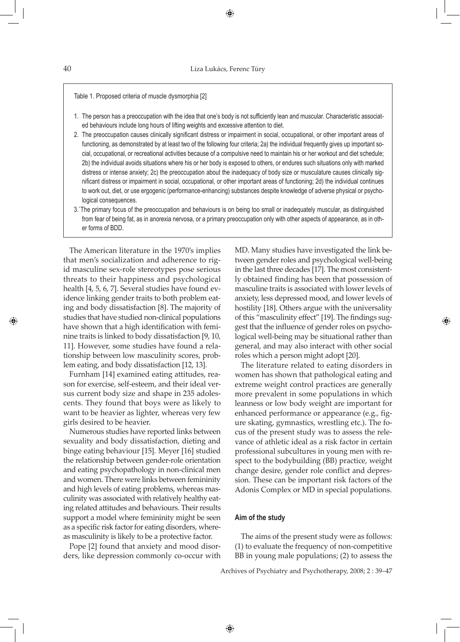Table 1. Proposed criteria of muscle dysmorphia [2]

- 1. The person has a preoccupation with the idea that one's body is not sufficiently lean and muscular. Characteristic associated behaviours include long hours of lifting weights and excessive attention to diet.
- 2. The preoccupation causes clinically significant distress or impairment in social, occupational, or other important areas of functioning, as demonstrated by at least two of the following four criteria; 2a) the individual frequently gives up important social, occupational, or recreational activities because of a compulsive need to maintain his or her workout and diet schedule; 2b) the individual avoids situations where his or her body is exposed to others, or endures such situations only with marked distress or intense anxiety; 2c) the preoccupation about the inadequacy of body size or musculature causes clinically significant distress or impairment in social, occupational, or other important areas of functioning; 2d) the individual continues to work out, diet, or use ergogenic (performance-enhancing) substances despite knowledge of adverse physical or psychological consequences.
- 3.`The primary focus of the preoccupation and behaviours is on being too small or inadequately muscular, as distinguished from fear of being fat, as in anorexia nervosa, or a primary preoccupation only with other aspects of appearance, as in other forms of BDD.

The American literature in the 1970's implies that men's socialization and adherence to rigid masculine sex-role stereotypes pose serious threats to their happiness and psychological health [4, 5, 6, 7]. Several studies have found evidence linking gender traits to both problem eating and body dissatisfaction [8]. The majority of studies that have studied non-clinical populations have shown that a high identification with feminine traits is linked to body dissatisfaction [9, 10, 11]. However, some studies have found a relationship between low masculinity scores, problem eating, and body dissatisfaction [12, 13].

Furnham [14] examined eating attitudes, reason for exercise, self-esteem, and their ideal versus current body size and shape in 235 adolescents. They found that boys were as likely to want to be heavier as lighter, whereas very few girls desired to be heavier.

Numerous studies have reported links between sexuality and body dissatisfaction, dieting and binge eating behaviour [15]. Meyer [16] studied the relationship between gender-role orientation and eating psychopathology in non-clinical men and women. There were links between femininity and high levels of eating problems, whereas masculinity was associated with relatively healthy eating related attitudes and behaviours. Their results support a model where femininity might be seen as a specific risk factor for eating disorders, whereas masculinity is likely to be a protective factor.

Pope [2] found that anxiety and mood disorders, like depression commonly co-occur with MD. Many studies have investigated the link between gender roles and psychological well-being in the last three decades [17]. The most consistently obtained finding has been that possession of masculine traits is associated with lower levels of anxiety, less depressed mood, and lower levels of hostility [18]. Others argue with the universality of this "masculinity effect" [19]. The findings suggest that the influence of gender roles on psychological well-being may be situational rather than general, and may also interact with other social roles which a person might adopt [20].

◈

The literature related to eating disorders in women has shown that pathological eating and extreme weight control practices are generally more prevalent in some populations in which leanness or low body weight are important for enhanced performance or appearance (e.g., figure skating, gymnastics, wrestling etc.). The focus of the present study was to assess the relevance of athletic ideal as a risk factor in certain professional subcultures in young men with respect to the bodybuilding (BB) practice, weight change desire, gender role conflict and depression. These can be important risk factors of the Adonis Complex or MD in special populations.

#### **Aim of the study**

↔

The aims of the present study were as follows: (1) to evaluate the frequency of non-competitive BB in young male populations; (2) to assess the

Archives of Psychiatry and Psychotherapy, 2008; 2 : 39–47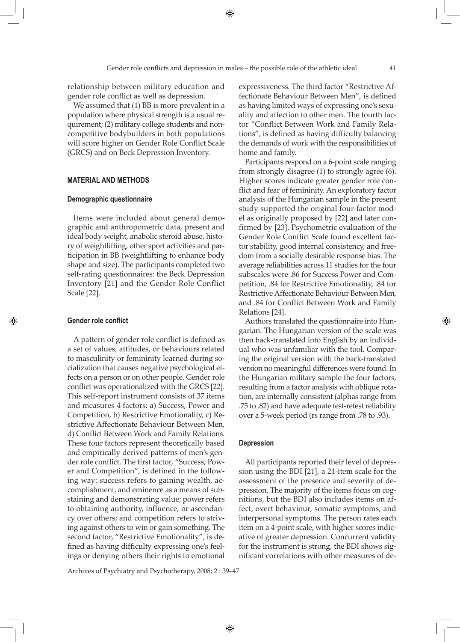relationship between military education and gender role conflict as well as depression.

We assumed that (1) BB is more prevalent in a population where physical strength is a usual requirement; (2) military college students and noncompetitive bodybuilders in both populations will score higher on Gender Role Conflict Scale (GRCS) and on Beck Depression Inventory.

## **MATERIAL AND METHODS**

#### **Demographic questionnaire**

Items were included about general demographic and anthropometric data, present and ideal body weight, anabolic steroid abuse, history of weightlifting, other sport activities and participation in BB (weightlifting to enhance body shape and size). The participants completed two self-rating questionnaires: the Beck Depression Inventory [21] and the Gender Role Conflict Scale [22].

## **Gender role conflict**

◈

A pattern of gender role conflict is defined as a set of values, attitudes, or behaviours related to masculinity or femininity learned during socialization that causes negative psychological effects on a person or on other people. Gender role conflict was operationalized with the GRCS [22]. This self-report instrument consists of 37 items and measures 4 factors: a) Success, Power and Competition, b) Restrictive Emotionality, c) Restrictive Affectionate Behaviour Between Men, d) Conflict Between Work and Family Relations. These four factors represent theoretically based and empirically derived patterns of men's gender role conflict. The first factor, "Success, Power and Competition", is defined in the following way: success refers to gaining wealth, accomplishment, and eminence as a means of substaining and demonstrating value; power refers to obtaining authority, influence, or ascendancy over others; and competition refers to striving against others to win or gain something. The second factor, "Restrictive Emotionality", is defined as having difficulty expressing one's feelings or denying others their rights to emotional

Archives of Psychiatry and Psychotherapy, 2008; 2 : 39–47

expressiveness. The third factor "Restrictive Affectionate Behaviour Between Men", is defined as having limited ways of expressing one's sexuality and affection to other men. The fourth factor "Conflict Between Work and Family Relations", is defined as having difficulty balancing the demands of work with the responsibilities of home and family.

Participants respond on a 6-point scale ranging from strongly disagree (1) to strongly agree (6). Higher scores indicate greater gender role conflict and fear of femininity. An exploratory factor analysis of the Hungarian sample in the present study supported the original four-factor model as originally proposed by [22] and later confirmed by [23]. Psychometric evaluation of the Gender Role Conflict Scale found excellent factor stability, good internal consistency, and freedom from a socially desirable response bias. The average reliabilities across 11 studies for the four subscales were .86 for Success Power and Competition, .84 for Restrictive Emotionality, .84 for Restrictive Affectionate Behaviour Between Men, and .84 for Conflict Between Work and Family Relations [24].

Authors translated the questionnaire into Hungarian. The Hungarian version of the scale was then back-translated into English by an individual who was unfamiliar with the tool. Comparing the original version with the back-translated version no meaningful differences were found. In the Hungarian military sample the four factors, resulting from a factor analysis with oblique rotation, are internally consistent (alphas range from .75 to .82) and have adequate test-retest reliability over a 5-week period (rs range from .78 to .93).

#### **Depression**

All participants reported their level of depression using the BDI [21], a 21-item scale for the assessment of the presence and severity of depression. The majority of the items focus on cognitions, but the BDI also includes items on affect, overt behaviour, somatic symptoms, and interpersonal symptoms. The person rates each item on a 4-point scale, with higher scores indicative of greater depression. Concurrent validity for the instrument is strong, the BDI shows significant correlations with other measures of de-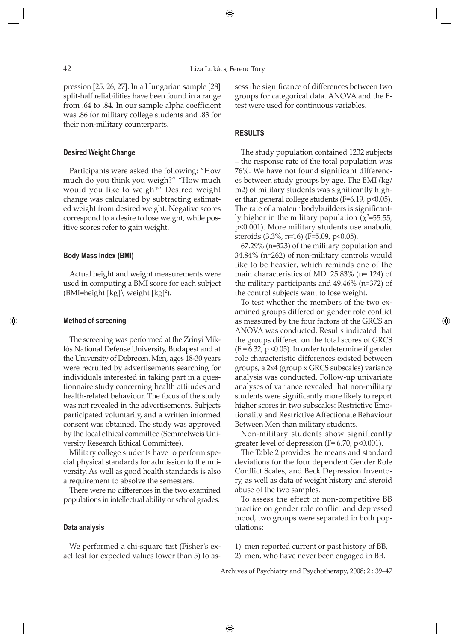pression [25, 26, 27]. In a Hungarian sample [28] split-half reliabilities have been found in a range from .64 to .84. In our sample alpha coefficient was .86 for military college students and .83 for their non-military counterparts.

#### **Desired Weight Change**

Participants were asked the following: "How much do you think you weigh?" "How much would you like to weigh?" Desired weight change was calculated by subtracting estimated weight from desired weight. Negative scores correspond to a desire to lose weight, while positive scores refer to gain weight.

#### **Body Mass Index (BMI)**

Actual height and weight measurements were used in computing a BMI score for each subject  $(BMI=height [kg] \setminus weight [kg]^2)$ .

# **Method of screening**

◈

The screening was performed at the Zrínyi Miklós National Defense University, Budapest and at the University of Debrecen. Men, ages 18-30 years were recruited by advertisements searching for individuals interested in taking part in a questionnaire study concerning health attitudes and health-related behaviour. The focus of the study was not revealed in the advertisements. Subjects participated voluntarily, and a written informed consent was obtained. The study was approved by the local ethical committee (Semmelweis University Research Ethical Committee).

Military college students have to perform special physical standards for admission to the university. As well as good health standards is also a requirement to absolve the semesters.

There were no differences in the two examined populations in intellectual ability or school grades.

## **Data analysis**

We performed a chi-square test (Fisher's exact test for expected values lower than 5) to assess the significance of differences between two groups for categorical data. ANOVA and the Ftest were used for continuous variables.

## **RESULTS**

The study population contained 1232 subjects – the response rate of the total population was 76%. We have not found significant differences between study groups by age. The BMI (kg/ m2) of military students was significantly higher than general college students (F=6.19, p<0.05). The rate of amateur bodybuilders is significantly higher in the military population  $(\chi^2=55.55,$ p<0.001). More military students use anabolic steroids (3.3%, n=16) (F=5.09, p<0.05).

67.29% (n=323) of the military population and 34.84% (n=262) of non-military controls would like to be heavier, which reminds one of the main characteristics of MD. 25.83% (n= 124) of the military participants and 49.46% (n=372) of the control subjects want to lose weight.

To test whether the members of the two examined groups differed on gender role conflict as measured by the four factors of the GRCS an ANOVA was conducted. Results indicated that the groups differed on the total scores of GRCS  $(F = 6.32, p \le 0.05)$ . In order to determine if gender role characteristic differences existed between groups, a 2x4 (group x GRCS subscales) variance analysis was conducted. Follow-up univariate analyses of variance revealed that non-military students were significantly more likely to report higher scores in two subscales: Restrictive Emotionality and Restrictive Affectionate Behaviour Between Men than military students.

◈

Non-military students show significantly greater level of depression ( $F= 6.70$ ,  $p<0.001$ ).

The Table 2 provides the means and standard deviations for the four dependent Gender Role Conflict Scales, and Beck Depression Inventory, as well as data of weight history and steroid abuse of the two samples.

To assess the effect of non-competitive BB practice on gender role conflict and depressed mood, two groups were separated in both populations:

1) men reported current or past history of BB,

2) men, who have never been engaged in BB.

Archives of Psychiatry and Psychotherapy, 2008; 2 : 39–47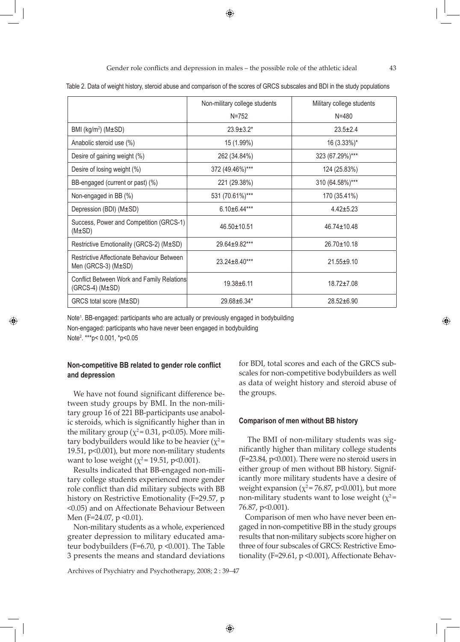Gender role conflicts and depression in males – the possible role of the athletic ideal  $43$ 

Table 2. Data of weight history, steroid abuse and comparison of the scores of GRCS subscales and BDI in the study populations

|                                                                        | Non-military college students | Military college students |  |
|------------------------------------------------------------------------|-------------------------------|---------------------------|--|
|                                                                        | $N = 752$                     | $N = 480$                 |  |
| BMI ( $kg/m^2$ ) ( $M\pm SD$ )                                         | $23.9 \pm 3.2^*$              | $23.5 \pm 2.4$            |  |
| Anabolic steroid use (%)                                               | 15 (1.99%)                    | 16 (3.33%)*               |  |
| Desire of gaining weight (%)                                           | 262 (34.84%)                  | 323 (67.29%)***           |  |
| Desire of losing weight (%)                                            | 372 (49.46%)***               | 124 (25.83%)              |  |
| BB-engaged (current or past) (%)                                       | 221 (29.38%)                  | 310 (64.58%)***           |  |
| Non-engaged in BB (%)                                                  | 531 (70.61%)***               | 170 (35.41%)              |  |
| Depression (BDI) (M±SD)                                                | $6.10 \pm 6.44***$            | $4.42 \pm 5.23$           |  |
| Success, Power and Competition (GRCS-1)<br>$(M\pm SD)$                 | 46.50±10.51                   | $46.74 + 10.48$           |  |
| Restrictive Emotionality (GRCS-2) (M±SD)                               | 29.64±9.82***                 | $26.70 \pm 10.18$         |  |
| Restrictive Affectionate Behaviour Between<br>Men (GRCS-3) $(M\pm SD)$ | $23.24 \pm 8.40***$           | $21.55 + 9.10$            |  |
| Conflict Between Work and Family Relations<br>$(GRCS-4)$ $(M\pm SD)$   | $19.38 + 6.11$                | $18.72 \pm 7.08$          |  |
| GRCS total score (M±SD)                                                | 29.68±6.34*                   | $28.52 + 6.90$            |  |

Note<sup>1</sup>. BB-engaged: participants who are actually or previously engaged in bodybuilding Non-engaged: participants who have never been engaged in bodybuilding Note2 . \*\*\*p< 0.001, \*p<0.05

# **Non-competitive BB related to gender role conflict and depression**

◈

We have not found significant difference between study groups by BMI. In the non-military group 16 of 221 BB-participants use anabolic steroids, which is significantly higher than in the military group ( $\chi^2$ = 0.31, p<0.05). More military bodybuilders would like to be heavier ( $\chi^2$  = 19.51, p<0.001), but more non-military students want to lose weight ( $\chi^2$ = 19.51, p<0.001).

Results indicated that BB-engaged non-military college students experienced more gender role conflict than did military subjects with BB history on Restrictive Emotionality (F=29.57, p <0.05) and on Affectionate Behaviour Between Men (F=24.07, p < 0.01).

Non-military students as a whole, experienced greater depression to military educated amateur bodybuilders (F=6.70, p <0.001). The Table 3 presents the means and standard deviations

Archives of Psychiatry and Psychotherapy, 2008; 2 : 39–47

for BDI, total scores and each of the GRCS subscales for non-competitive bodybuilders as well as data of weight history and steroid abuse of the groups.

### **Comparison of men without BB history**

 The BMI of non-military students was significantly higher than military college students (F=23.84, p<0.001). There were no steroid users in either group of men without BB history. Significantly more military students have a desire of weight expansion ( $\chi^2$  = 76.87, p<0.001), but more non-military students want to lose weight ( $\chi^2$  = 76.87, p<0.001).

Comparison of men who have never been engaged in non-competitive BB in the study groups results that non-military subjects score higher on three of four subscales of GRCS: Restrictive Emotionality (F=29.61, p <0.001), Affectionate Behav◈

↔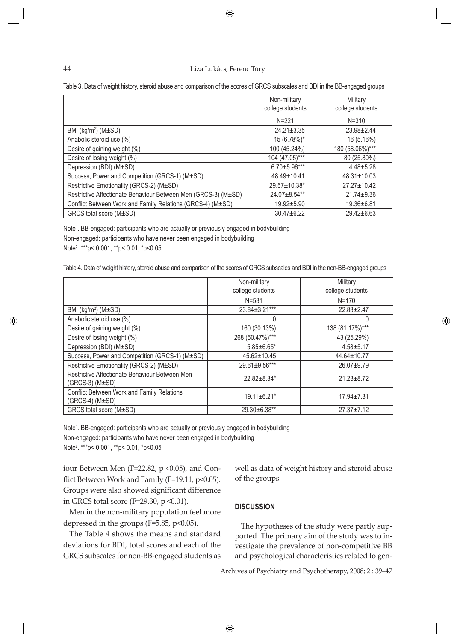#### Liza Lukács, Ferenc Túry

⊕

| ×,<br>o | ٠<br>v |
|---------|--------|
|         |        |

◈

Table 3. Data of weight history, steroid abuse and comparison of the scores of GRCS subscales and BDI in the BB-engaged groups

|                                                                | Non-military      | Military          |
|----------------------------------------------------------------|-------------------|-------------------|
|                                                                | college students  | college students  |
|                                                                | $N = 221$         | $N = 310$         |
| BMI ( $kg/m^2$ ) ( $M\pm SD$ )                                 | $24.21 \pm 3.35$  | $23.98 \pm 2.44$  |
| Anabolic steroid use (%)                                       | 15 (6.78%)*       | 16 (5.16%)        |
| Desire of gaining weight (%)                                   | 100 (45.24%)      | 180 (58.06%)***   |
| Desire of losing weight (%)                                    | 104 (47.05)***    | 80 (25.80%)       |
| Depression (BDI) (M±SD)                                        | $6.70 + 5.96***$  | $4.48 \pm 5.28$   |
| Success, Power and Competition (GRCS-1) (M±SD)                 | $48.49 \pm 10.41$ | $48.31 \pm 10.03$ |
| Restrictive Emotionality (GRCS-2) (M±SD)                       | 29.57±10.38*      | $27.27 \pm 10.42$ |
| Restrictive Affectionate Behaviour Between Men (GRCS-3) (M±SD) | 24.07±8.54**      | $21.74 + 9.36$    |
| Conflict Between Work and Family Relations (GRCS-4) (M±SD)     | $19.92 + 5.90$    | $19.36 + 6.81$    |
| GRCS total score (M±SD)                                        | $30.47 + 6.22$    | $29.42 \pm 6.63$  |

Note<sup>1</sup>. BB-engaged: participants who are actually or previously engaged in bodybuilding Non-engaged: participants who have never been engaged in bodybuilding Note2 . \*\*\*p< 0.001, \*\*p< 0.01, \*p<0.05

Table 4. Data of weight history, steroid abuse and comparison of the scores of GRCS subscales and BDI in the non-BB-engaged groups

|                                                                          | Non-military        | Military         |
|--------------------------------------------------------------------------|---------------------|------------------|
|                                                                          | college students    | college students |
|                                                                          | $N = 531$           | $N = 170$        |
| BMI ( $kg/m^2$ ) ( $M\pm SD$ )                                           | $23.84 \pm 3.21***$ | $22.83 \pm 2.47$ |
| Anabolic steroid use (%)                                                 | $\Omega$            | 0                |
| Desire of gaining weight (%)                                             | 160 (30.13%)        | 138 (81.17%)***  |
| Desire of losing weight (%)                                              | 268 (50.47%)***     | 43 (25.29%)      |
| Depression (BDI) (M±SD)                                                  | $5.85 \pm 6.65$ *   | $4.58 + 5.17$    |
| Success, Power and Competition (GRCS-1) (M±SD)                           | 45.62±10.45         | 44.64±10.77      |
| Restrictive Emotionality (GRCS-2) (M±SD)                                 | 29.61±9.56***       | $26.07 + 9.79$   |
| Restrictive Affectionate Behaviour Between Men<br>$(GRCS-3)$ $(M\pm SD)$ | $22.82 \pm 8.34*$   | $21.23 \pm 8.72$ |
| Conflict Between Work and Family Relations<br>$(GRCS-4)$ $(M\pm SD)$     | 19.11±6.21*         | $17.94 \pm 7.31$ |
| GRCS total score (M±SD)                                                  | 29.30±6.38**        | $27.37 \pm 7.12$ |

Note<sup>1</sup>. BB-engaged: participants who are actually or previously engaged in bodybuilding Non-engaged: participants who have never been engaged in bodybuilding Note2 . \*\*\*p< 0.001, \*\*p< 0.01, \*p<0.05

iour Between Men (F=22.82,  $p$  <0.05), and Conflict Between Work and Family (F=19.11, p<0.05). Groups were also showed significant difference in GRCS total score (F=29.30, p < 0.01).

Men in the non-military population feel more depressed in the groups (F=5.85, p<0.05).

The Table 4 shows the means and standard deviations for BDI, total scores and each of the GRCS subscales for non-BB-engaged students as well as data of weight history and steroid abuse of the groups.

◈

# **DISCUSSION**

The hypotheses of the study were partly supported. The primary aim of the study was to investigate the prevalence of non-competitive BB and psychological characteristics related to gen-

Archives of Psychiatry and Psychotherapy, 2008; 2 : 39–47

<sup>◈</sup>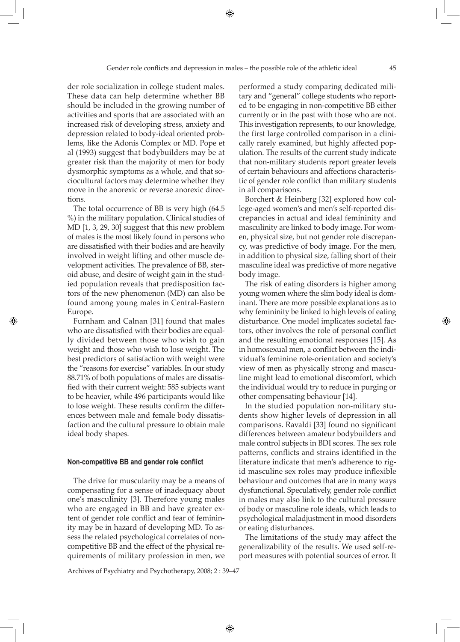der role socialization in college student males. These data can help determine whether BB should be included in the growing number of activities and sports that are associated with an increased risk of developing stress, anxiety and depression related to body-ideal oriented problems, like the Adonis Complex or MD. Pope et al (1993) suggest that bodybuilders may be at greater risk than the majority of men for body dysmorphic symptoms as a whole, and that sociocultural factors may determine whether they move in the anorexic or reverse anorexic directions.

The total occurrence of BB is very high (64.5 %) in the military population. Clinical studies of MD [1, 3, 29, 30] suggest that this new problem of males is the most likely found in persons who are dissatisfied with their bodies and are heavily involved in weight lifting and other muscle development activities. The prevalence of BB, steroid abuse, and desire of weight gain in the studied population reveals that predisposition factors of the new phenomenon (MD) can also be found among young males in Central-Eastern Europe.

Furnham and Calnan [31] found that males who are dissatisfied with their bodies are equally divided between those who wish to gain weight and those who wish to lose weight. The best predictors of satisfaction with weight were the "reasons for exercise" variables. In our study 88.71% of both populations of males are dissatisfied with their current weight: 585 subjects want to be heavier, while 496 participants would like to lose weight. These results confirm the differences between male and female body dissatisfaction and the cultural pressure to obtain male ideal body shapes.

◈

#### **Non-competitive BB and gender role conflict**

The drive for muscularity may be a means of compensating for a sense of inadequacy about one's masculinity [3]. Therefore young males who are engaged in BB and have greater extent of gender role conflict and fear of femininity may be in hazard of developing MD. To assess the related psychological correlates of noncompetitive BB and the effect of the physical requirements of military profession in men, we

Archives of Psychiatry and Psychotherapy, 2008; 2 : 39–47

performed a study comparing dedicated military and "general" college students who reported to be engaging in non-competitive BB either currently or in the past with those who are not. This investigation represents, to our knowledge, the first large controlled comparison in a clinically rarely examined, but highly affected population. The results of the current study indicate that non-military students report greater levels of certain behaviours and affections characteristic of gender role conflict than military students in all comparisons.

Borchert & Heinberg [32] explored how college-aged women's and men's self-reported discrepancies in actual and ideal femininity and masculinity are linked to body image. For women, physical size, but not gender role discrepancy, was predictive of body image. For the men, in addition to physical size, falling short of their masculine ideal was predictive of more negative body image.

The risk of eating disorders is higher among young women where the slim body ideal is dominant. There are more possible explanations as to why femininity be linked to high levels of eating disturbance. One model implicates societal factors, other involves the role of personal conflict and the resulting emotional responses [15]. As in homosexual men, a conflict between the individual's feminine role-orientation and society's view of men as physically strong and masculine might lead to emotional discomfort, which the individual would try to reduce in purging or other compensating behaviour [14].

In the studied population non-military students show higher levels of depression in all comparisons. Ravaldi [33] found no significant differences between amateur bodybuilders and male control subjects in BDI scores. The sex role patterns, conflicts and strains identified in the literature indicate that men's adherence to rigid masculine sex roles may produce inflexible behaviour and outcomes that are in many ways dysfunctional. Speculatively, gender role conflict in males may also link to the cultural pressure of body or masculine role ideals, which leads to psychological maladjustment in mood disorders or eating disturbances.

The limitations of the study may affect the generalizability of the results. We used self-report measures with potential sources of error. It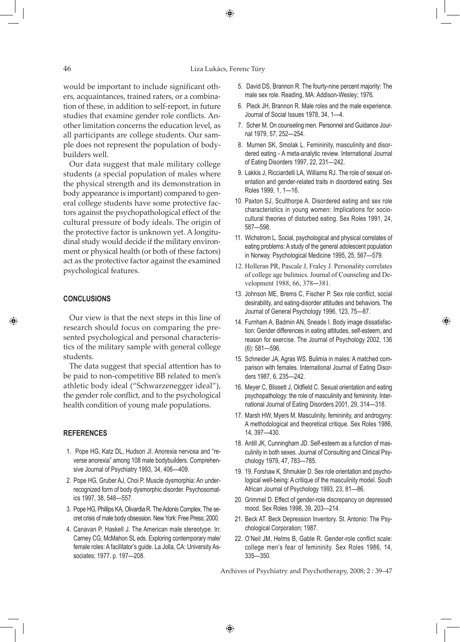#### 46 Liza Lukács, Ferenc Túry

⊕

would be important to include significant others, acquaintances, trained raters, or a combination of these, in addition to self-report, in future studies that examine gender role conflicts. Another limitation concerns the education level, as all participants are college students. Our sample does not represent the population of bodybuilders well.

Our data suggest that male military college students (a special population of males where the physical strength and its demonstration in body appearance is important) compared to general college students have some protective factors against the psychopathological effect of the cultural pressure of body ideals. The origin of the protective factor is unknown yet. A longitudinal study would decide if the military environment or physical health (or both of these factors) act as the protective factor against the examined psychological features.

# **CONCLUSIONS**

◈

Our view is that the next steps in this line of research should focus on comparing the presented psychological and personal characteristics of the military sample with general college students.

The data suggest that special attention has to be paid to non-competitive BB related to men's athletic body ideal ("Schwarzenegger ideal"), the gender role conflict, and to the psychological health condition of young male populations.

# **References**

- 1. Pope HG, Katz DL, Hudson JI. Anorexia nervosa and "reverse anorexia" among 108 male bodybuilders. Comprehensive Journal of Psychiatry 1993, 34, 406—409.
- 2. Pope HG, Gruber AJ, Choi P. Muscle dysmorphia: An underrecognized form of body dysmorphic disorder. Psychosomatics 1997, 38, 548—557.
- 3. Pope HG, Phillips KA, Olivardia R. The Adonis Complex. The secret crisis of male body obsession. New York: Free Press; 2000.
- 4. Canavan P, Haskell J. The American male stereotype. In: Carney CG, McMahon SL eds. Exploring contemporary male/ female roles: A facilitator's guide. La Jolla, CA: University Associates; 1977. p. 197—208.
- 5. David DS, Brannon R. The fourty-nine percent majority: The male sex role. Reading, MA: Addison-Wesley; 1976.
- 6. Pleck JH, Brannon R. Male roles and the male experience. Journal of Social Issues 1978, 34, 1—4.
- 7. Scher M. On counseling men. Personnel and Guidance Journal 1979, 57, 252—254.
- 8. Murnen SK, Smolak L. Femininity, masculinity and disordered eating - A meta-analytic review. International Journal of Eating Disorders 1997, 22, 231—242.
- 9. Lakkis J, Ricciardelli LA, Williams RJ. The role of sexual orientation and gender-related traits in disordered eating. Sex Roles 1999, 1, 1—16.
- 10. Paxton SJ, Sculthorpe A. Disordered eating and sex role characteristics in young women: Implications for sociocultural theories of disturbed eating. Sex Roles 1991, 24, 587—598.
- 11. Wichstrom L. Social, psychological and physical correlates of eating problems: A study of the general adolescent population in Norway. Psychological Medicine 1995, 25, 567—579.
- 12. Holleran PR, Pascale J, Fraley J. Personality correlates of college age bulimics. Journal of Counseling and Development 1988, 66, 378—381.
- 13. Johnson ME, Brems C, Fischer P. Sex role conflict, social desirability, and eating-disorder attitudes and behaviors. The Journal of General Psychology 1996, 123, 75—87.
- 14. Furnham A, Badmin AN, Sneade I. Body image dissatisfaction: Gender differences in eating attitudes, self-esteem, and reason for exercise. The Journal of Psychology 2002, 136 (6): 581—596.

◈

- 15. Schneider JA, Agras WS. Bulimia in males: Amatched comparison with females. International Journal of Eating Disorders 1987, 6, 235—242.
- 16. Meyer C, Blissett J, Oldfield C. Sexual orientation and eating psychopathology: the role of masculinity and femininity. International Journal of Eating Disorders 2001, 29, 314—318.
- 17. Marsh HW, Myers M. Masculinity, femininity, and androgyny: A methodological and theoretical critique. Sex Roles 1986, 14, 397—430.
- 18. Antill JK, Cunningham JD. Self-esteem as a function of masculinity in both sexes. Journal of Consulting and Clinical Psychology 1979, 47, 783—785.
- 19. 19. Forshaw K, Shmukler D. Sex role orientation and psychological well-being: A critique of the masculinity model. South African Journal of Psychology 1993, 23, 81—86.
- 20. Grimmel D. Effect of gender-role discrepancy on depressed mood. Sex Roles 1998, 39, 203—214.
- 21. Beck AT. Beck Depression Inventory. St. Antonio: The Psychological Corporation; 1987.
- 22. O'Neil JM, Helms B, Gable R. Gender-role conflict scale: college men's fear of femininity. Sex Roles 1986, 14, 335—350.

Archives of Psychiatry and Psychotherapy, 2008; 2 : 39–47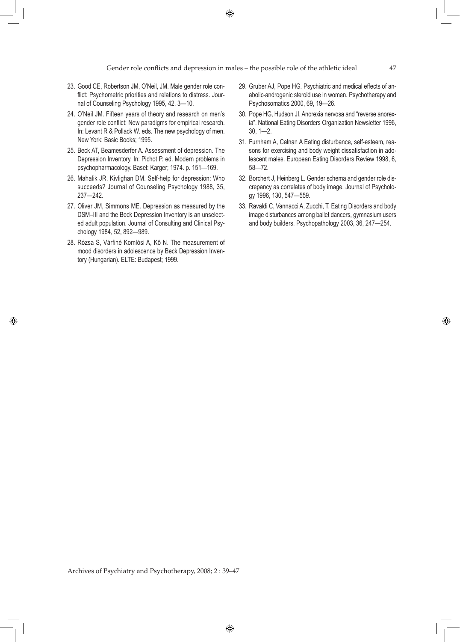$\bigoplus$ 

- 23. Good CE, Robertson JM, O'Neil, JM. Male gender role conflict: Psychometric priorities and relations to distress. Journal of Counseling Psychology 1995, 42, 3—10.
- 24. O'Neil JM. Fifteen years of theory and research on men's gender role conflict: New paradigms for empirical research. In: Levant R & Pollack W. eds. The new psychology of men. New York: Basic Books; 1995.
- 25. Beck AT, Beamesderfer A. Assessment of depression. The Depression Inventory. In: Pichot P. ed. Modern problems in psychopharmacology. Basel: Karger; 1974. p. 151—169.
- 26. Mahalik JR, Kivlighan DM. Self-help for depression: Who succeeds? Journal of Counseling Psychology 1988, 35, 237—242.
- 27. Oliver JM, Simmons ME. Depression as measured by the DSM–III and the Beck Depression Inventory is an unselected adult population. Journal of Consulting and Clinical Psychology 1984, 52, 892—989.
- 28. Rózsa S, Várfiné Komlósi A, Kő N. The measurement of mood disorders in adolescence by Beck Depression Inventory (Hungarian). ELTE: Budapest; 1999.

◈

- 29. Gruber AJ, Pope HG. Psychiatric and medical effects of anabolic-androgenic steroid use in women. Psychotherapy and Psychosomatics 2000, 69, 19—26.
- 30. Pope HG, Hudson Jl. Anorexia nervosa and "reverse anorexia". National Eating Disorders Organization Newsletter 1996, 30, 1—2.
- 31. Furnham A, Calnan A Eating disturbance, self-esteem, reasons for exercising and body weight dissatisfaction in adolescent males. European Eating Disorders Review 1998, 6, 58—72.
- 32. Borchert J, Heinberg L. Gender schema and gender role discrepancy as correlates of body image. Journal of Psychology 1996, 130, 547—559.
- 33. Ravaldi C, Vannacci A, Zucchi, T. Eating Disorders and body image disturbances among ballet dancers, gymnasium users and body builders. Psychopathology 2003, 36, 247—254.

Archives of Psychiatry and Psychotherapy, 2008; 2 : 39–47

◈